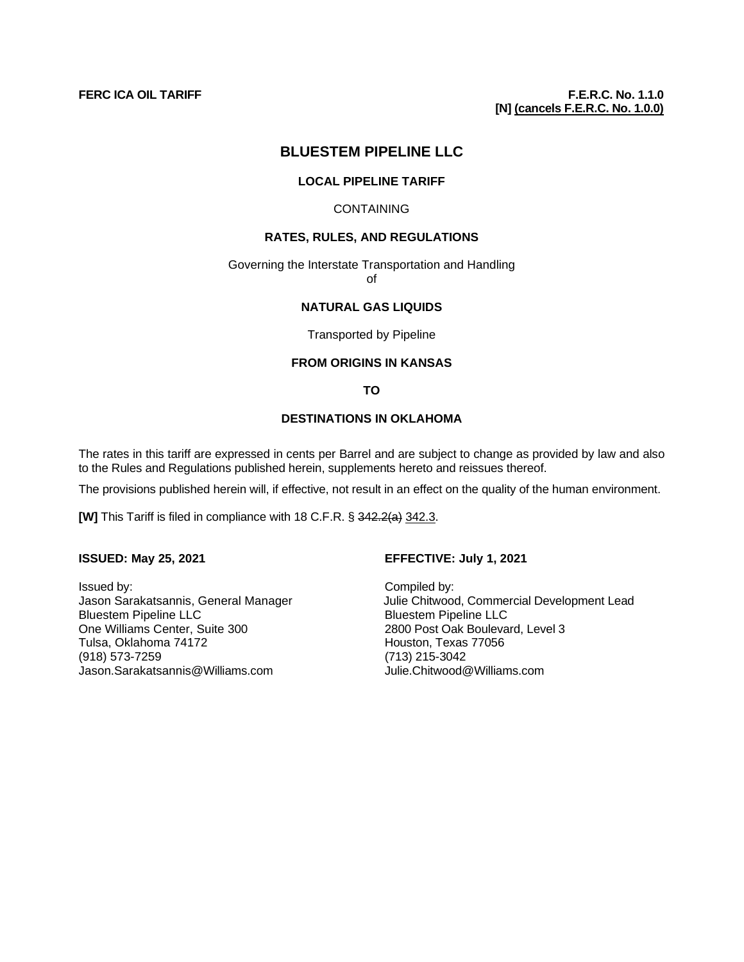# **BLUESTEM PIPELINE LLC**

#### **LOCAL PIPELINE TARIFF**

#### **CONTAINING**

### **RATES, RULES, AND REGULATIONS**

Governing the Interstate Transportation and Handling of

## **NATURAL GAS LIQUIDS**

Transported by Pipeline

#### **FROM ORIGINS IN KANSAS**

**TO** 

# **DESTINATIONS IN OKLAHOMA**

The rates in this tariff are expressed in cents per Barrel and are subject to change as provided by law and also to the Rules and Regulations published herein, supplements hereto and reissues thereof.

The provisions published herein will, if effective, not result in an effect on the quality of the human environment.

**[W]** This Tariff is filed in compliance with 18 C.F.R. § 342.2(a) 342.3.

Issued by: <br>
Jason Sarakatsannis, General Manager Julie Chitwood Bluestem Pipeline LLC<br>
One Williams Center, Suite 300<br>
2800 Post Oak Bouleva Tulsa, Oklahoma 74172 (918) 573-7259 (713) 215-3042 Jason.Sarakatsanni[s@Williams.com](mailto:T.J.Rinke@Williams.com) Julie.Chitwood@Williams.com

#### **ISSUED: May 25, 2021 EFFECTIVE: July 1, 2021**

Jason Sarakatsannis, General Manager Julie Chitwood, Commercial Development Lead<br>Bluestem Pipeline LLC<br>Bluestem Pipeline LLC 2800 Post Oak Boulevard, Level 3<br>Houston, Texas 77056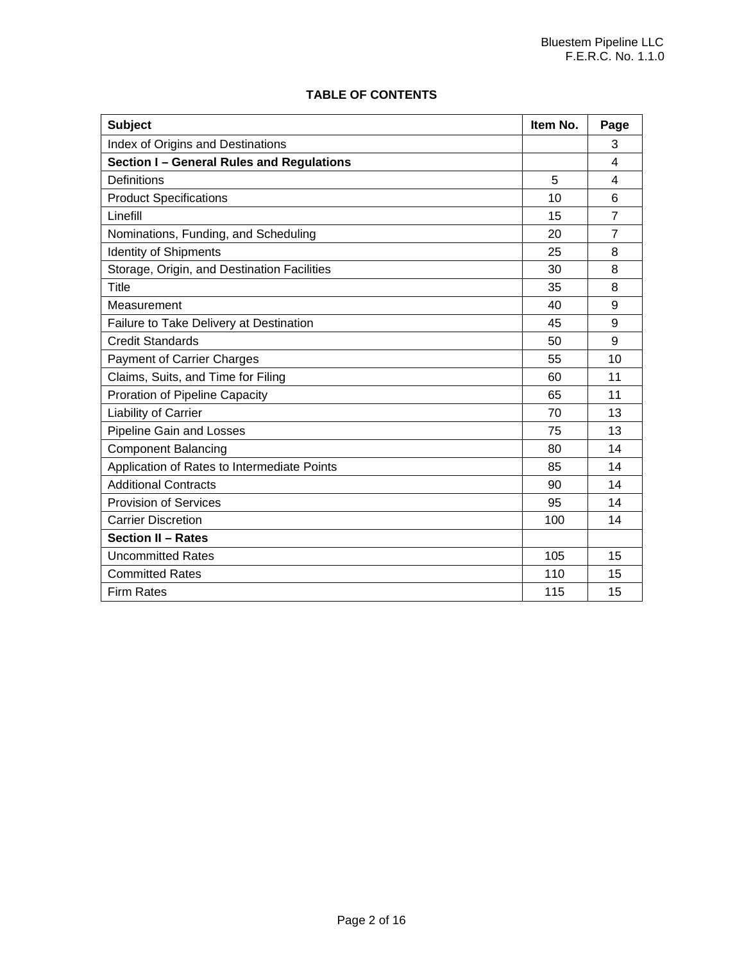# **TABLE OF CONTENTS**

| <b>Subject</b>                              | Item No. | Page           |
|---------------------------------------------|----------|----------------|
| Index of Origins and Destinations           |          | 3              |
| Section I - General Rules and Regulations   |          | 4              |
| Definitions                                 | 5        | 4              |
| <b>Product Specifications</b>               | 10       | 6              |
| Linefill                                    | 15       | $\overline{7}$ |
| Nominations, Funding, and Scheduling        | 20       | $\overline{7}$ |
| <b>Identity of Shipments</b>                | 25       | 8              |
| Storage, Origin, and Destination Facilities | 30       | 8              |
| <b>Title</b>                                | 35       | 8              |
| Measurement                                 | 40       | 9              |
| Failure to Take Delivery at Destination     | 45       | 9              |
| <b>Credit Standards</b>                     | 50       | 9              |
| <b>Payment of Carrier Charges</b>           | 55       | 10             |
| Claims, Suits, and Time for Filing          | 60       | 11             |
| Proration of Pipeline Capacity              | 65       | 11             |
| Liability of Carrier                        | 70       | 13             |
| <b>Pipeline Gain and Losses</b>             | 75       | 13             |
| <b>Component Balancing</b>                  | 80       | 14             |
| Application of Rates to Intermediate Points | 85       | 14             |
| <b>Additional Contracts</b>                 | 90       | 14             |
| <b>Provision of Services</b>                | 95       | 14             |
| <b>Carrier Discretion</b>                   | 100      | 14             |
| <b>Section II - Rates</b>                   |          |                |
| <b>Uncommitted Rates</b>                    | 105      | 15             |
| <b>Committed Rates</b>                      | 110      | 15             |
| <b>Firm Rates</b>                           | 115      | 15             |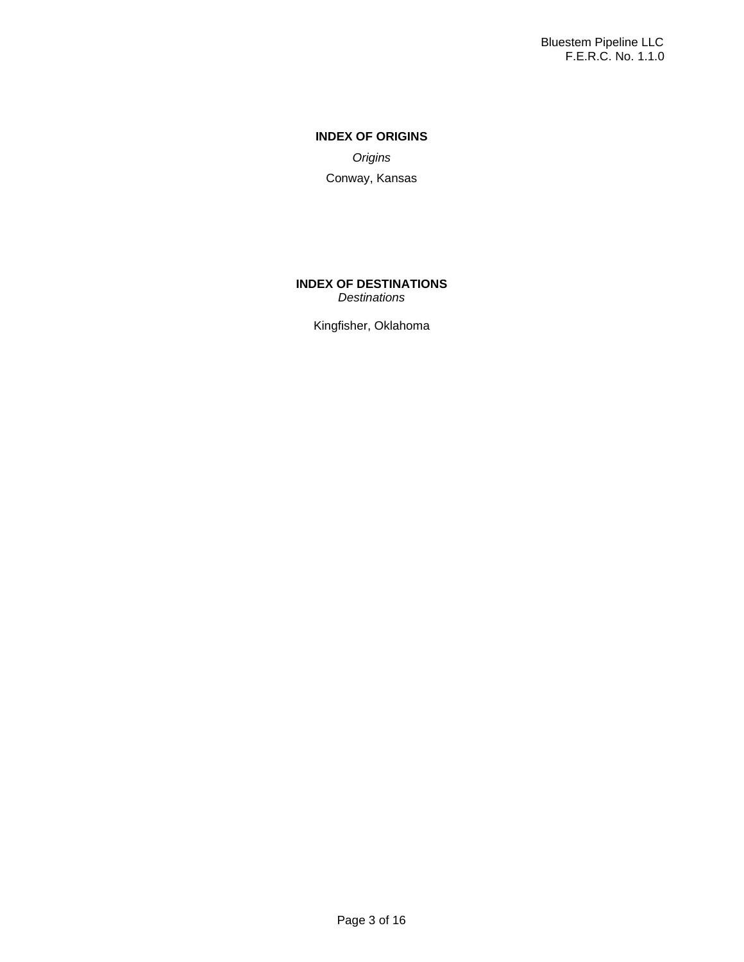# **INDEX OF ORIGINS** *Origins* Conway, Kansas

**INDEX OF DESTINATIONS** *Destinations*

Kingfisher, Oklahoma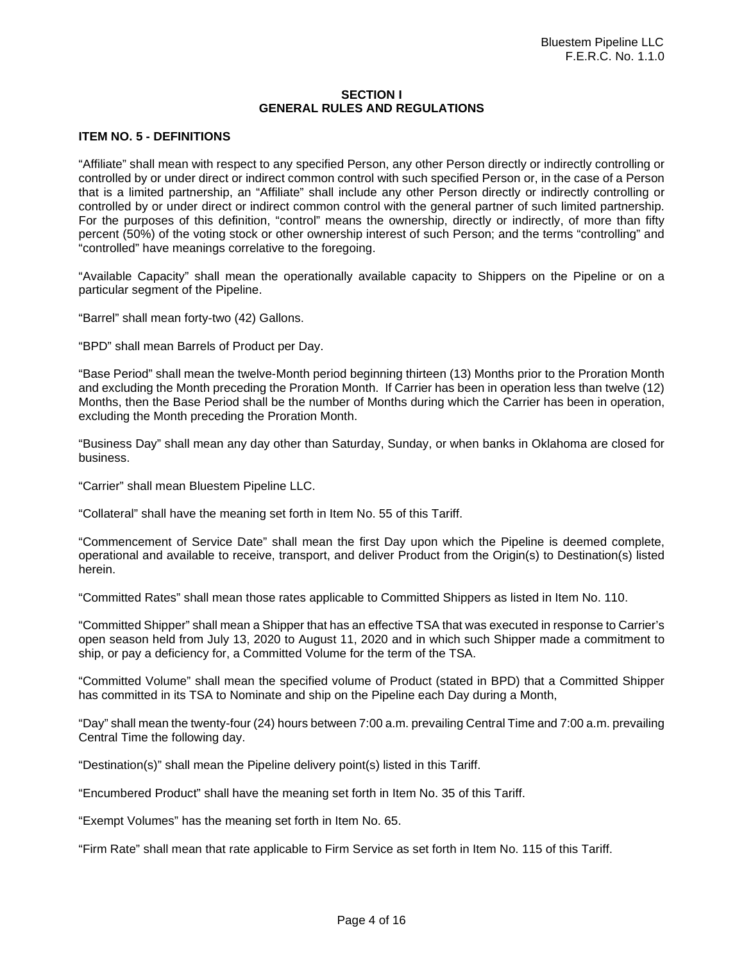#### **SECTION I GENERAL RULES AND REGULATIONS**

#### **ITEM NO. 5 - DEFINITIONS**

"Affiliate" shall mean with respect to any specified Person, any other Person directly or indirectly controlling or controlled by or under direct or indirect common control with such specified Person or, in the case of a Person that is a limited partnership, an "Affiliate" shall include any other Person directly or indirectly controlling or controlled by or under direct or indirect common control with the general partner of such limited partnership. For the purposes of this definition, "control" means the ownership, directly or indirectly, of more than fifty percent (50%) of the voting stock or other ownership interest of such Person; and the terms "controlling" and "controlled" have meanings correlative to the foregoing.

"Available Capacity" shall mean the operationally available capacity to Shippers on the Pipeline or on a particular segment of the Pipeline.

"Barrel" shall mean forty-two (42) Gallons.

"BPD" shall mean Barrels of Product per Day.

"Base Period" shall mean the twelve-Month period beginning thirteen (13) Months prior to the Proration Month and excluding the Month preceding the Proration Month. If Carrier has been in operation less than twelve (12) Months, then the Base Period shall be the number of Months during which the Carrier has been in operation, excluding the Month preceding the Proration Month.

"Business Day" shall mean any day other than Saturday, Sunday, or when banks in Oklahoma are closed for business.

"Carrier" shall mean Bluestem Pipeline LLC.

"Collateral" shall have the meaning set forth in Item No. 55 of this Tariff.

"Commencement of Service Date" shall mean the first Day upon which the Pipeline is deemed complete, operational and available to receive, transport, and deliver Product from the Origin(s) to Destination(s) listed herein.

"Committed Rates" shall mean those rates applicable to Committed Shippers as listed in Item No. 110.

"Committed Shipper" shall mean a Shipper that has an effective TSA that was executed in response to Carrier's open season held from July 13, 2020 to August 11, 2020 and in which such Shipper made a commitment to ship, or pay a deficiency for, a Committed Volume for the term of the TSA.

"Committed Volume" shall mean the specified volume of Product (stated in BPD) that a Committed Shipper has committed in its TSA to Nominate and ship on the Pipeline each Day during a Month,

"Day" shall mean the twenty-four (24) hours between 7:00 a.m. prevailing Central Time and 7:00 a.m. prevailing Central Time the following day.

"Destination(s)" shall mean the Pipeline delivery point(s) listed in this Tariff.

"Encumbered Product" shall have the meaning set forth in Item No. 35 of this Tariff.

"Exempt Volumes" has the meaning set forth in Item No. 65.

"Firm Rate" shall mean that rate applicable to Firm Service as set forth in Item No. 115 of this Tariff.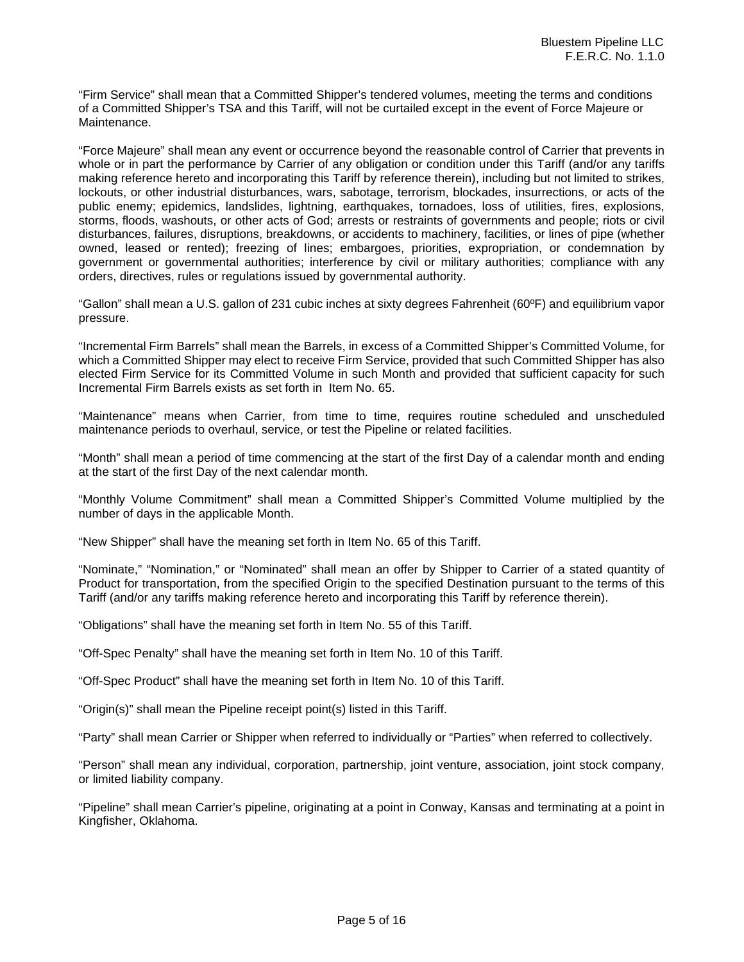"Firm Service" shall mean that a Committed Shipper's tendered volumes, meeting the terms and conditions of a Committed Shipper's TSA and this Tariff, will not be curtailed except in the event of Force Majeure or Maintenance.

"Force Majeure" shall mean any event or occurrence beyond the reasonable control of Carrier that prevents in whole or in part the performance by Carrier of any obligation or condition under this Tariff (and/or any tariffs making reference hereto and incorporating this Tariff by reference therein), including but not limited to strikes, lockouts, or other industrial disturbances, wars, sabotage, terrorism, blockades, insurrections, or acts of the public enemy; epidemics, landslides, lightning, earthquakes, tornadoes, loss of utilities, fires, explosions, storms, floods, washouts, or other acts of God; arrests or restraints of governments and people; riots or civil disturbances, failures, disruptions, breakdowns, or accidents to machinery, facilities, or lines of pipe (whether owned, leased or rented); freezing of lines; embargoes, priorities, expropriation, or condemnation by government or governmental authorities; interference by civil or military authorities; compliance with any orders, directives, rules or regulations issued by governmental authority.

"Gallon" shall mean a U.S. gallon of 231 cubic inches at sixty degrees Fahrenheit (60ºF) and equilibrium vapor pressure.

"Incremental Firm Barrels" shall mean the Barrels, in excess of a Committed Shipper's Committed Volume, for which a Committed Shipper may elect to receive Firm Service, provided that such Committed Shipper has also elected Firm Service for its Committed Volume in such Month and provided that sufficient capacity for such Incremental Firm Barrels exists as set forth in Item No. 65.

"Maintenance" means when Carrier, from time to time, requires routine scheduled and unscheduled maintenance periods to overhaul, service, or test the Pipeline or related facilities.

"Month" shall mean a period of time commencing at the start of the first Day of a calendar month and ending at the start of the first Day of the next calendar month.

"Monthly Volume Commitment" shall mean a Committed Shipper's Committed Volume multiplied by the number of days in the applicable Month.

"New Shipper" shall have the meaning set forth in Item No. 65 of this Tariff.

"Nominate," "Nomination," or "Nominated" shall mean an offer by Shipper to Carrier of a stated quantity of Product for transportation, from the specified Origin to the specified Destination pursuant to the terms of this Tariff (and/or any tariffs making reference hereto and incorporating this Tariff by reference therein).

"Obligations" shall have the meaning set forth in Item No. 55 of this Tariff.

"Off-Spec Penalty" shall have the meaning set forth in Item No. 10 of this Tariff.

"Off-Spec Product" shall have the meaning set forth in Item No. 10 of this Tariff.

"Origin(s)" shall mean the Pipeline receipt point(s) listed in this Tariff.

"Party" shall mean Carrier or Shipper when referred to individually or "Parties" when referred to collectively.

"Person" shall mean any individual, corporation, partnership, joint venture, association, joint stock company, or limited liability company.

"Pipeline" shall mean Carrier's pipeline, originating at a point in Conway, Kansas and terminating at a point in Kingfisher, Oklahoma.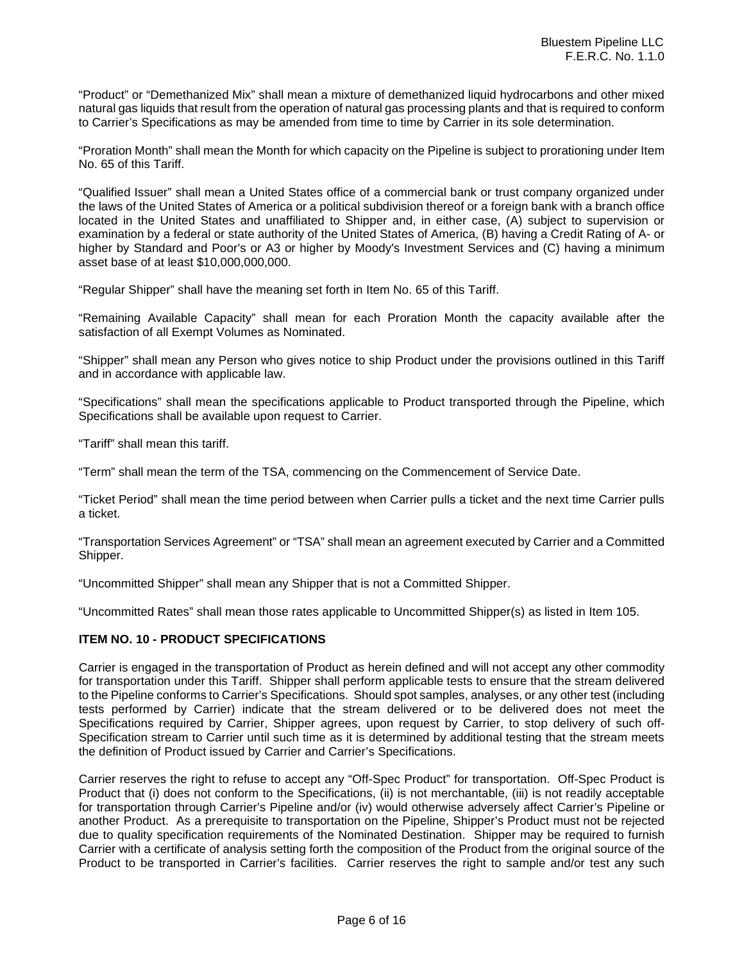"Product" or "Demethanized Mix" shall mean a mixture of demethanized liquid hydrocarbons and other mixed natural gas liquids that result from the operation of natural gas processing plants and that is required to conform to Carrier's Specifications as may be amended from time to time by Carrier in its sole determination.

"Proration Month" shall mean the Month for which capacity on the Pipeline is subject to prorationing under Item No. 65 of this Tariff.

"Qualified Issuer" shall mean a United States office of a commercial bank or trust company organized under the laws of the United States of America or a political subdivision thereof or a foreign bank with a branch office located in the United States and unaffiliated to Shipper and, in either case, (A) subject to supervision or examination by a federal or state authority of the United States of America, (B) having a Credit Rating of A- or higher by Standard and Poor's or A3 or higher by Moody's Investment Services and (C) having a minimum asset base of at least \$10,000,000,000.

"Regular Shipper" shall have the meaning set forth in Item No. 65 of this Tariff.

"Remaining Available Capacity" shall mean for each Proration Month the capacity available after the satisfaction of all Exempt Volumes as Nominated.

"Shipper" shall mean any Person who gives notice to ship Product under the provisions outlined in this Tariff and in accordance with applicable law.

"Specifications" shall mean the specifications applicable to Product transported through the Pipeline, which Specifications shall be available upon request to Carrier.

"Tariff" shall mean this tariff.

"Term" shall mean the term of the TSA, commencing on the Commencement of Service Date.

"Ticket Period" shall mean the time period between when Carrier pulls a ticket and the next time Carrier pulls a ticket.

"Transportation Services Agreement" or "TSA" shall mean an agreement executed by Carrier and a Committed Shipper.

"Uncommitted Shipper" shall mean any Shipper that is not a Committed Shipper.

"Uncommitted Rates" shall mean those rates applicable to Uncommitted Shipper(s) as listed in Item 105.

#### **ITEM NO. 10 - PRODUCT SPECIFICATIONS**

Carrier is engaged in the transportation of Product as herein defined and will not accept any other commodity for transportation under this Tariff. Shipper shall perform applicable tests to ensure that the stream delivered to the Pipeline conforms to Carrier's Specifications. Should spot samples, analyses, or any other test (including tests performed by Carrier) indicate that the stream delivered or to be delivered does not meet the Specifications required by Carrier, Shipper agrees, upon request by Carrier, to stop delivery of such off-Specification stream to Carrier until such time as it is determined by additional testing that the stream meets the definition of Product issued by Carrier and Carrier's Specifications.

Carrier reserves the right to refuse to accept any "Off-Spec Product" for transportation. Off-Spec Product is Product that (i) does not conform to the Specifications, (ii) is not merchantable, (iii) is not readily acceptable for transportation through Carrier's Pipeline and/or (iv) would otherwise adversely affect Carrier's Pipeline or another Product. As a prerequisite to transportation on the Pipeline, Shipper's Product must not be rejected due to quality specification requirements of the Nominated Destination. Shipper may be required to furnish Carrier with a certificate of analysis setting forth the composition of the Product from the original source of the Product to be transported in Carrier's facilities. Carrier reserves the right to sample and/or test any such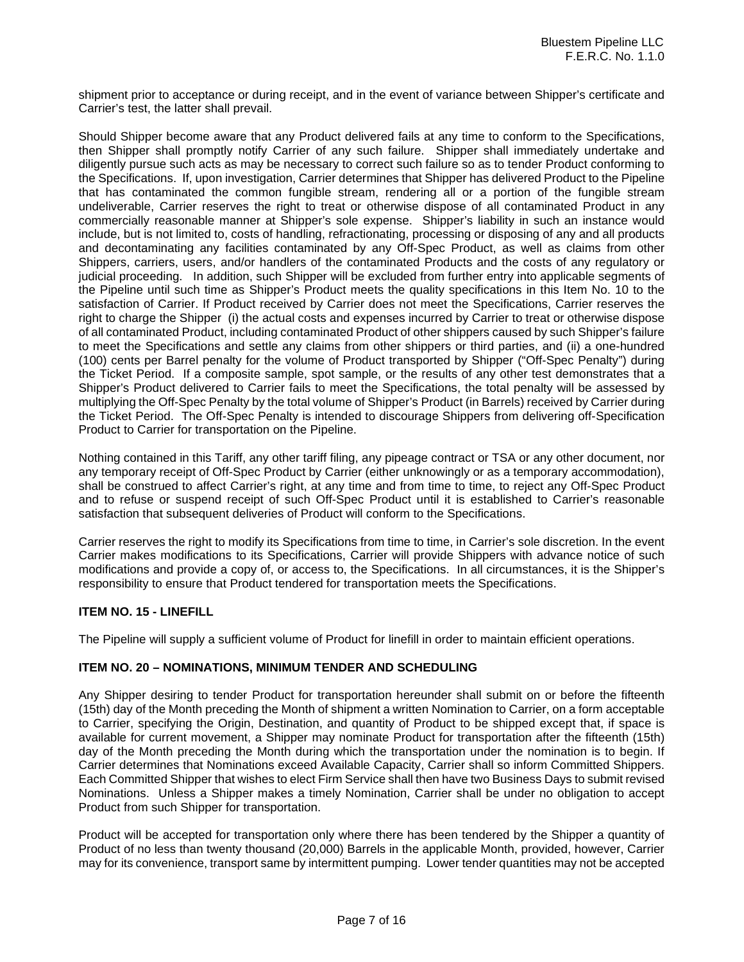shipment prior to acceptance or during receipt, and in the event of variance between Shipper's certificate and Carrier's test, the latter shall prevail.

Should Shipper become aware that any Product delivered fails at any time to conform to the Specifications, then Shipper shall promptly notify Carrier of any such failure. Shipper shall immediately undertake and diligently pursue such acts as may be necessary to correct such failure so as to tender Product conforming to the Specifications. If, upon investigation, Carrier determines that Shipper has delivered Product to the Pipeline that has contaminated the common fungible stream, rendering all or a portion of the fungible stream undeliverable, Carrier reserves the right to treat or otherwise dispose of all contaminated Product in any commercially reasonable manner at Shipper's sole expense. Shipper's liability in such an instance would include, but is not limited to, costs of handling, refractionating, processing or disposing of any and all products and decontaminating any facilities contaminated by any Off-Spec Product, as well as claims from other Shippers, carriers, users, and/or handlers of the contaminated Products and the costs of any regulatory or judicial proceeding. In addition, such Shipper will be excluded from further entry into applicable segments of the Pipeline until such time as Shipper's Product meets the quality specifications in this Item No. 10 to the satisfaction of Carrier. If Product received by Carrier does not meet the Specifications, Carrier reserves the right to charge the Shipper (i) the actual costs and expenses incurred by Carrier to treat or otherwise dispose of all contaminated Product, including contaminated Product of other shippers caused by such Shipper's failure to meet the Specifications and settle any claims from other shippers or third parties, and (ii) a one-hundred (100) cents per Barrel penalty for the volume of Product transported by Shipper ("Off-Spec Penalty") during the Ticket Period. If a composite sample, spot sample, or the results of any other test demonstrates that a Shipper's Product delivered to Carrier fails to meet the Specifications, the total penalty will be assessed by multiplying the Off-Spec Penalty by the total volume of Shipper's Product (in Barrels) received by Carrier during the Ticket Period. The Off-Spec Penalty is intended to discourage Shippers from delivering off-Specification Product to Carrier for transportation on the Pipeline.

Nothing contained in this Tariff, any other tariff filing, any pipeage contract or TSA or any other document, nor any temporary receipt of Off-Spec Product by Carrier (either unknowingly or as a temporary accommodation), shall be construed to affect Carrier's right, at any time and from time to time, to reject any Off-Spec Product and to refuse or suspend receipt of such Off-Spec Product until it is established to Carrier's reasonable satisfaction that subsequent deliveries of Product will conform to the Specifications.

Carrier reserves the right to modify its Specifications from time to time, in Carrier's sole discretion. In the event Carrier makes modifications to its Specifications, Carrier will provide Shippers with advance notice of such modifications and provide a copy of, or access to, the Specifications. In all circumstances, it is the Shipper's responsibility to ensure that Product tendered for transportation meets the Specifications.

#### **ITEM NO. 15 - LINEFILL**

The Pipeline will supply a sufficient volume of Product for linefill in order to maintain efficient operations.

#### **ITEM NO. 20 – NOMINATIONS, MINIMUM TENDER AND SCHEDULING**

Any Shipper desiring to tender Product for transportation hereunder shall submit on or before the fifteenth (15th) day of the Month preceding the Month of shipment a written Nomination to Carrier, on a form acceptable to Carrier, specifying the Origin, Destination, and quantity of Product to be shipped except that, if space is available for current movement, a Shipper may nominate Product for transportation after the fifteenth (15th) day of the Month preceding the Month during which the transportation under the nomination is to begin. If Carrier determines that Nominations exceed Available Capacity, Carrier shall so inform Committed Shippers. Each Committed Shipper that wishes to elect Firm Service shall then have two Business Days to submit revised Nominations. Unless a Shipper makes a timely Nomination, Carrier shall be under no obligation to accept Product from such Shipper for transportation.

Product will be accepted for transportation only where there has been tendered by the Shipper a quantity of Product of no less than twenty thousand (20,000) Barrels in the applicable Month, provided, however, Carrier may for its convenience, transport same by intermittent pumping. Lower tender quantities may not be accepted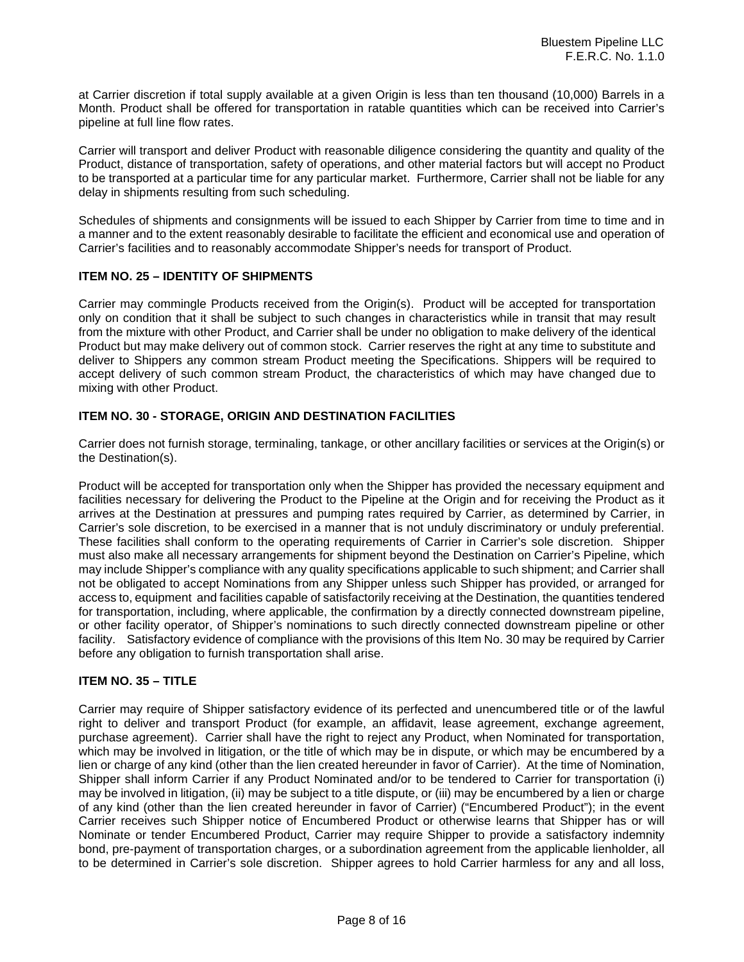at Carrier discretion if total supply available at a given Origin is less than ten thousand (10,000) Barrels in a Month. Product shall be offered for transportation in ratable quantities which can be received into Carrier's pipeline at full line flow rates.

Carrier will transport and deliver Product with reasonable diligence considering the quantity and quality of the Product, distance of transportation, safety of operations, and other material factors but will accept no Product to be transported at a particular time for any particular market. Furthermore, Carrier shall not be liable for any delay in shipments resulting from such scheduling.

Schedules of shipments and consignments will be issued to each Shipper by Carrier from time to time and in a manner and to the extent reasonably desirable to facilitate the efficient and economical use and operation of Carrier's facilities and to reasonably accommodate Shipper's needs for transport of Product.

# **ITEM NO. 25 – IDENTITY OF SHIPMENTS**

Carrier may commingle Products received from the Origin(s). Product will be accepted for transportation only on condition that it shall be subject to such changes in characteristics while in transit that may result from the mixture with other Product, and Carrier shall be under no obligation to make delivery of the identical Product but may make delivery out of common stock. Carrier reserves the right at any time to substitute and deliver to Shippers any common stream Product meeting the Specifications. Shippers will be required to accept delivery of such common stream Product, the characteristics of which may have changed due to mixing with other Product.

# **ITEM NO. 30 - STORAGE, ORIGIN AND DESTINATION FACILITIES**

Carrier does not furnish storage, terminaling, tankage, or other ancillary facilities or services at the Origin(s) or the Destination(s).

Product will be accepted for transportation only when the Shipper has provided the necessary equipment and facilities necessary for delivering the Product to the Pipeline at the Origin and for receiving the Product as it arrives at the Destination at pressures and pumping rates required by Carrier, as determined by Carrier, in Carrier's sole discretion, to be exercised in a manner that is not unduly discriminatory or unduly preferential. These facilities shall conform to the operating requirements of Carrier in Carrier's sole discretion. Shipper must also make all necessary arrangements for shipment beyond the Destination on Carrier's Pipeline, which may include Shipper's compliance with any quality specifications applicable to such shipment; and Carrier shall not be obligated to accept Nominations from any Shipper unless such Shipper has provided, or arranged for access to, equipment and facilities capable of satisfactorily receiving at the Destination, the quantities tendered for transportation, including, where applicable, the confirmation by a directly connected downstream pipeline, or other facility operator, of Shipper's nominations to such directly connected downstream pipeline or other facility. Satisfactory evidence of compliance with the provisions of this Item No. 30 may be required by Carrier before any obligation to furnish transportation shall arise.

# **ITEM NO. 35 – TITLE**

Carrier may require of Shipper satisfactory evidence of its perfected and unencumbered title or of the lawful right to deliver and transport Product (for example, an affidavit, lease agreement, exchange agreement, purchase agreement). Carrier shall have the right to reject any Product, when Nominated for transportation, which may be involved in litigation, or the title of which may be in dispute, or which may be encumbered by a lien or charge of any kind (other than the lien created hereunder in favor of Carrier). At the time of Nomination, Shipper shall inform Carrier if any Product Nominated and/or to be tendered to Carrier for transportation (i) may be involved in litigation, (ii) may be subject to a title dispute, or (iii) may be encumbered by a lien or charge of any kind (other than the lien created hereunder in favor of Carrier) ("Encumbered Product"); in the event Carrier receives such Shipper notice of Encumbered Product or otherwise learns that Shipper has or will Nominate or tender Encumbered Product, Carrier may require Shipper to provide a satisfactory indemnity bond, pre-payment of transportation charges, or a subordination agreement from the applicable lienholder, all to be determined in Carrier's sole discretion. Shipper agrees to hold Carrier harmless for any and all loss,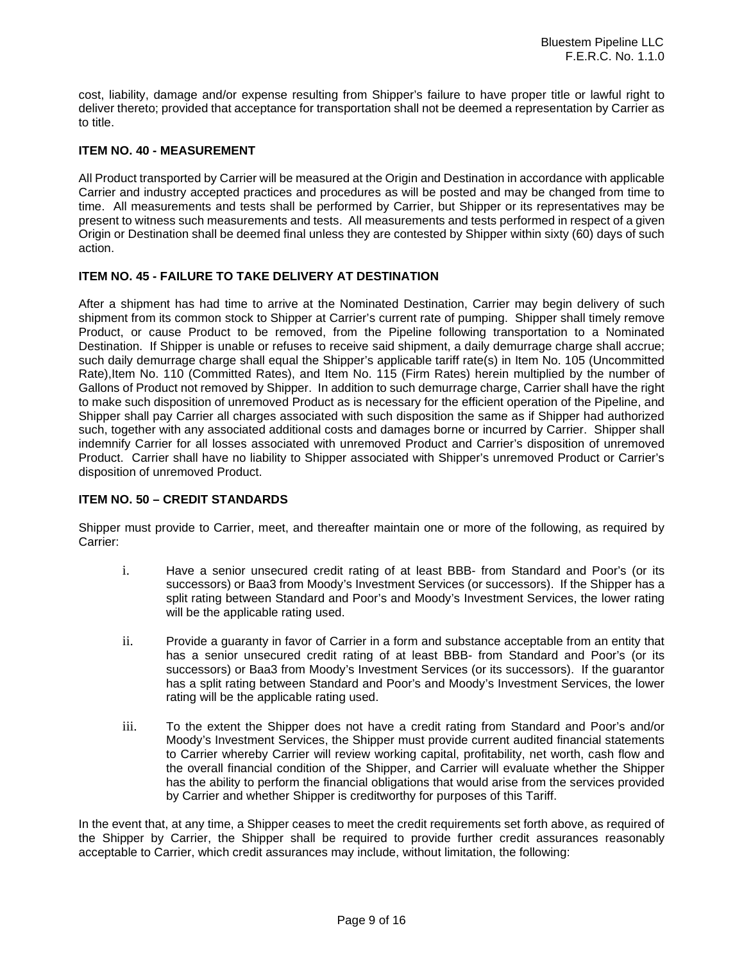cost, liability, damage and/or expense resulting from Shipper's failure to have proper title or lawful right to deliver thereto; provided that acceptance for transportation shall not be deemed a representation by Carrier as to title.

# **ITEM NO. 40 - MEASUREMENT**

All Product transported by Carrier will be measured at the Origin and Destination in accordance with applicable Carrier and industry accepted practices and procedures as will be posted and may be changed from time to time. All measurements and tests shall be performed by Carrier, but Shipper or its representatives may be present to witness such measurements and tests. All measurements and tests performed in respect of a given Origin or Destination shall be deemed final unless they are contested by Shipper within sixty (60) days of such action.

# **ITEM NO. 45 - FAILURE TO TAKE DELIVERY AT DESTINATION**

After a shipment has had time to arrive at the Nominated Destination, Carrier may begin delivery of such shipment from its common stock to Shipper at Carrier's current rate of pumping. Shipper shall timely remove Product, or cause Product to be removed, from the Pipeline following transportation to a Nominated Destination. If Shipper is unable or refuses to receive said shipment, a daily demurrage charge shall accrue; such daily demurrage charge shall equal the Shipper's applicable tariff rate(s) in Item No. 105 (Uncommitted Rate), Item No. 110 (Committed Rates), and Item No. 115 (Firm Rates) herein multiplied by the number of Gallons of Product not removed by Shipper. In addition to such demurrage charge, Carrier shall have the right to make such disposition of unremoved Product as is necessary for the efficient operation of the Pipeline, and Shipper shall pay Carrier all charges associated with such disposition the same as if Shipper had authorized such, together with any associated additional costs and damages borne or incurred by Carrier. Shipper shall indemnify Carrier for all losses associated with unremoved Product and Carrier's disposition of unremoved Product. Carrier shall have no liability to Shipper associated with Shipper's unremoved Product or Carrier's disposition of unremoved Product.

#### **ITEM NO. 50 – CREDIT STANDARDS**

Shipper must provide to Carrier, meet, and thereafter maintain one or more of the following, as required by Carrier:

- i. Have a senior unsecured credit rating of at least BBB- from Standard and Poor's (or its successors) or Baa3 from Moody's Investment Services (or successors). If the Shipper has a split rating between Standard and Poor's and Moody's Investment Services, the lower rating will be the applicable rating used.
- ii. Provide a guaranty in favor of Carrier in a form and substance acceptable from an entity that has a senior unsecured credit rating of at least BBB- from Standard and Poor's (or its successors) or Baa3 from Moody's Investment Services (or its successors). If the guarantor has a split rating between Standard and Poor's and Moody's Investment Services, the lower rating will be the applicable rating used.
- iii. To the extent the Shipper does not have a credit rating from Standard and Poor's and/or Moody's Investment Services, the Shipper must provide current audited financial statements to Carrier whereby Carrier will review working capital, profitability, net worth, cash flow and the overall financial condition of the Shipper, and Carrier will evaluate whether the Shipper has the ability to perform the financial obligations that would arise from the services provided by Carrier and whether Shipper is creditworthy for purposes of this Tariff.

In the event that, at any time, a Shipper ceases to meet the credit requirements set forth above, as required of the Shipper by Carrier, the Shipper shall be required to provide further credit assurances reasonably acceptable to Carrier, which credit assurances may include, without limitation, the following: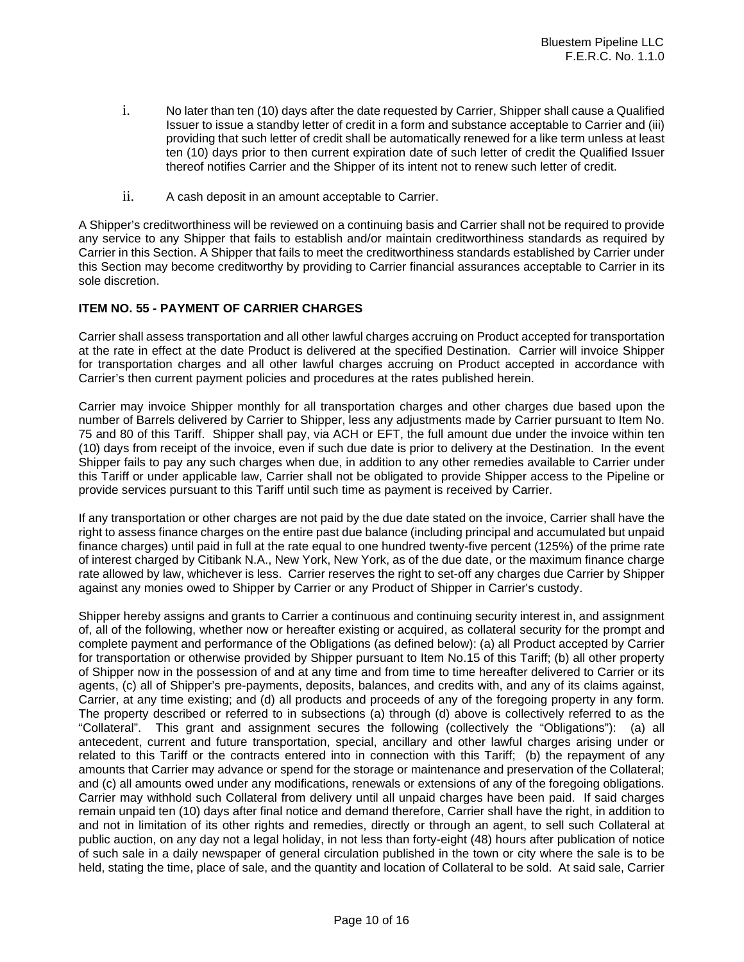- i. No later than ten (10) days after the date requested by Carrier, Shipper shall cause a Qualified Issuer to issue a standby letter of credit in a form and substance acceptable to Carrier and (iii) providing that such letter of credit shall be automatically renewed for a like term unless at least ten (10) days prior to then current expiration date of such letter of credit the Qualified Issuer thereof notifies Carrier and the Shipper of its intent not to renew such letter of credit.
- ii. A cash deposit in an amount acceptable to Carrier.

A Shipper's creditworthiness will be reviewed on a continuing basis and Carrier shall not be required to provide any service to any Shipper that fails to establish and/or maintain creditworthiness standards as required by Carrier in this Section. A Shipper that fails to meet the creditworthiness standards established by Carrier under this Section may become creditworthy by providing to Carrier financial assurances acceptable to Carrier in its sole discretion.

# **ITEM NO. 55 - PAYMENT OF CARRIER CHARGES**

Carrier shall assess transportation and all other lawful charges accruing on Product accepted for transportation at the rate in effect at the date Product is delivered at the specified Destination. Carrier will invoice Shipper for transportation charges and all other lawful charges accruing on Product accepted in accordance with Carrier's then current payment policies and procedures at the rates published herein.

Carrier may invoice Shipper monthly for all transportation charges and other charges due based upon the number of Barrels delivered by Carrier to Shipper, less any adjustments made by Carrier pursuant to Item No. 75 and 80 of this Tariff. Shipper shall pay, via ACH or EFT, the full amount due under the invoice within ten (10) days from receipt of the invoice, even if such due date is prior to delivery at the Destination. In the event Shipper fails to pay any such charges when due, in addition to any other remedies available to Carrier under this Tariff or under applicable law, Carrier shall not be obligated to provide Shipper access to the Pipeline or provide services pursuant to this Tariff until such time as payment is received by Carrier.

If any transportation or other charges are not paid by the due date stated on the invoice, Carrier shall have the right to assess finance charges on the entire past due balance (including principal and accumulated but unpaid finance charges) until paid in full at the rate equal to one hundred twenty-five percent (125%) of the prime rate of interest charged by Citibank N.A., New York, New York, as of the due date, or the maximum finance charge rate allowed by law, whichever is less. Carrier reserves the right to set-off any charges due Carrier by Shipper against any monies owed to Shipper by Carrier or any Product of Shipper in Carrier's custody.

Shipper hereby assigns and grants to Carrier a continuous and continuing security interest in, and assignment of, all of the following, whether now or hereafter existing or acquired, as collateral security for the prompt and complete payment and performance of the Obligations (as defined below): (a) all Product accepted by Carrier for transportation or otherwise provided by Shipper pursuant to Item No.15 of this Tariff; (b) all other property of Shipper now in the possession of and at any time and from time to time hereafter delivered to Carrier or its agents, (c) all of Shipper's pre-payments, deposits, balances, and credits with, and any of its claims against, Carrier, at any time existing; and (d) all products and proceeds of any of the foregoing property in any form. The property described or referred to in subsections (a) through (d) above is collectively referred to as the "Collateral". This grant and assignment secures the following (collectively the "Obligations"): (a) all antecedent, current and future transportation, special, ancillary and other lawful charges arising under or related to this Tariff or the contracts entered into in connection with this Tariff; (b) the repayment of any amounts that Carrier may advance or spend for the storage or maintenance and preservation of the Collateral; and (c) all amounts owed under any modifications, renewals or extensions of any of the foregoing obligations. Carrier may withhold such Collateral from delivery until all unpaid charges have been paid. If said charges remain unpaid ten (10) days after final notice and demand therefore, Carrier shall have the right, in addition to and not in limitation of its other rights and remedies, directly or through an agent, to sell such Collateral at public auction, on any day not a legal holiday, in not less than forty-eight (48) hours after publication of notice of such sale in a daily newspaper of general circulation published in the town or city where the sale is to be held, stating the time, place of sale, and the quantity and location of Collateral to be sold. At said sale, Carrier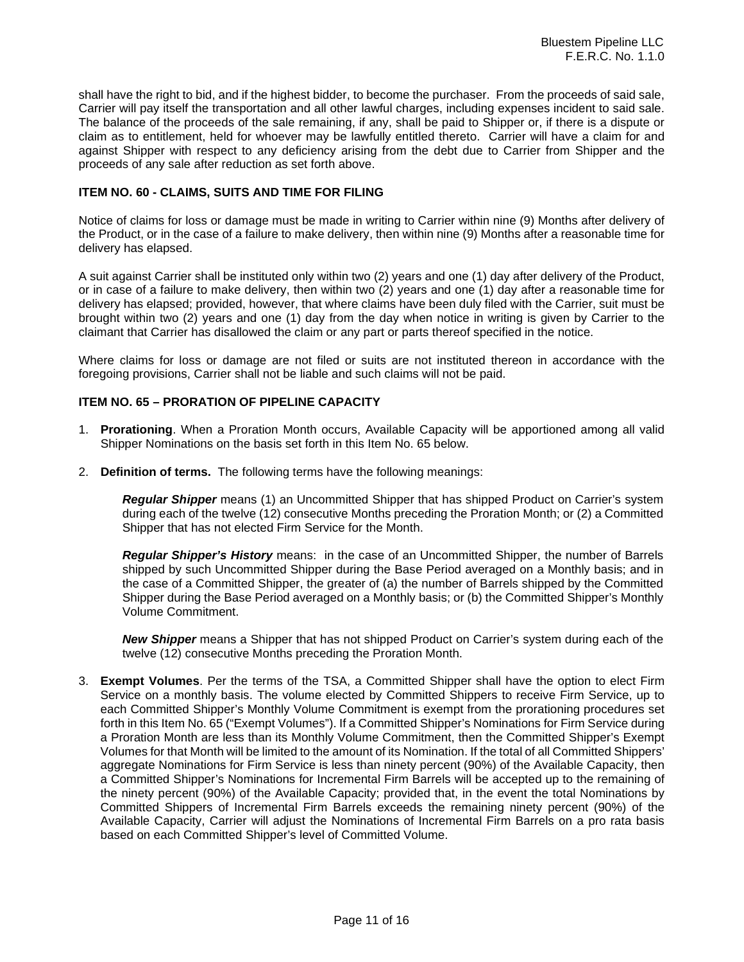shall have the right to bid, and if the highest bidder, to become the purchaser. From the proceeds of said sale, Carrier will pay itself the transportation and all other lawful charges, including expenses incident to said sale. The balance of the proceeds of the sale remaining, if any, shall be paid to Shipper or, if there is a dispute or claim as to entitlement, held for whoever may be lawfully entitled thereto. Carrier will have a claim for and against Shipper with respect to any deficiency arising from the debt due to Carrier from Shipper and the proceeds of any sale after reduction as set forth above.

## **ITEM NO. 60 - CLAIMS, SUITS AND TIME FOR FILING**

Notice of claims for loss or damage must be made in writing to Carrier within nine (9) Months after delivery of the Product, or in the case of a failure to make delivery, then within nine (9) Months after a reasonable time for delivery has elapsed.

A suit against Carrier shall be instituted only within two (2) years and one (1) day after delivery of the Product, or in case of a failure to make delivery, then within two (2) years and one (1) day after a reasonable time for delivery has elapsed; provided, however, that where claims have been duly filed with the Carrier, suit must be brought within two (2) years and one (1) day from the day when notice in writing is given by Carrier to the claimant that Carrier has disallowed the claim or any part or parts thereof specified in the notice.

Where claims for loss or damage are not filed or suits are not instituted thereon in accordance with the foregoing provisions, Carrier shall not be liable and such claims will not be paid.

# **ITEM NO. 65 – PRORATION OF PIPELINE CAPACITY**

- 1. **Prorationing**. When a Proration Month occurs, Available Capacity will be apportioned among all valid Shipper Nominations on the basis set forth in this Item No. 65 below.
- 2. **Definition of terms.** The following terms have the following meanings:

*Regular Shipper* means (1) an Uncommitted Shipper that has shipped Product on Carrier's system during each of the twelve (12) consecutive Months preceding the Proration Month; or (2) a Committed Shipper that has not elected Firm Service for the Month.

*Regular Shipper's History* means: in the case of an Uncommitted Shipper, the number of Barrels shipped by such Uncommitted Shipper during the Base Period averaged on a Monthly basis; and in the case of a Committed Shipper, the greater of (a) the number of Barrels shipped by the Committed Shipper during the Base Period averaged on a Monthly basis; or (b) the Committed Shipper's Monthly Volume Commitment.

*New Shipper* means a Shipper that has not shipped Product on Carrier's system during each of the twelve (12) consecutive Months preceding the Proration Month.

3. **Exempt Volumes**. Per the terms of the TSA, a Committed Shipper shall have the option to elect Firm Service on a monthly basis. The volume elected by Committed Shippers to receive Firm Service, up to each Committed Shipper's Monthly Volume Commitment is exempt from the prorationing procedures set forth in this Item No. 65 ("Exempt Volumes"). If a Committed Shipper's Nominations for Firm Service during a Proration Month are less than its Monthly Volume Commitment, then the Committed Shipper's Exempt Volumes for that Month will be limited to the amount of its Nomination. If the total of all Committed Shippers' aggregate Nominations for Firm Service is less than ninety percent (90%) of the Available Capacity, then a Committed Shipper's Nominations for Incremental Firm Barrels will be accepted up to the remaining of the ninety percent (90%) of the Available Capacity; provided that, in the event the total Nominations by Committed Shippers of Incremental Firm Barrels exceeds the remaining ninety percent (90%) of the Available Capacity, Carrier will adjust the Nominations of Incremental Firm Barrels on a pro rata basis based on each Committed Shipper's level of Committed Volume.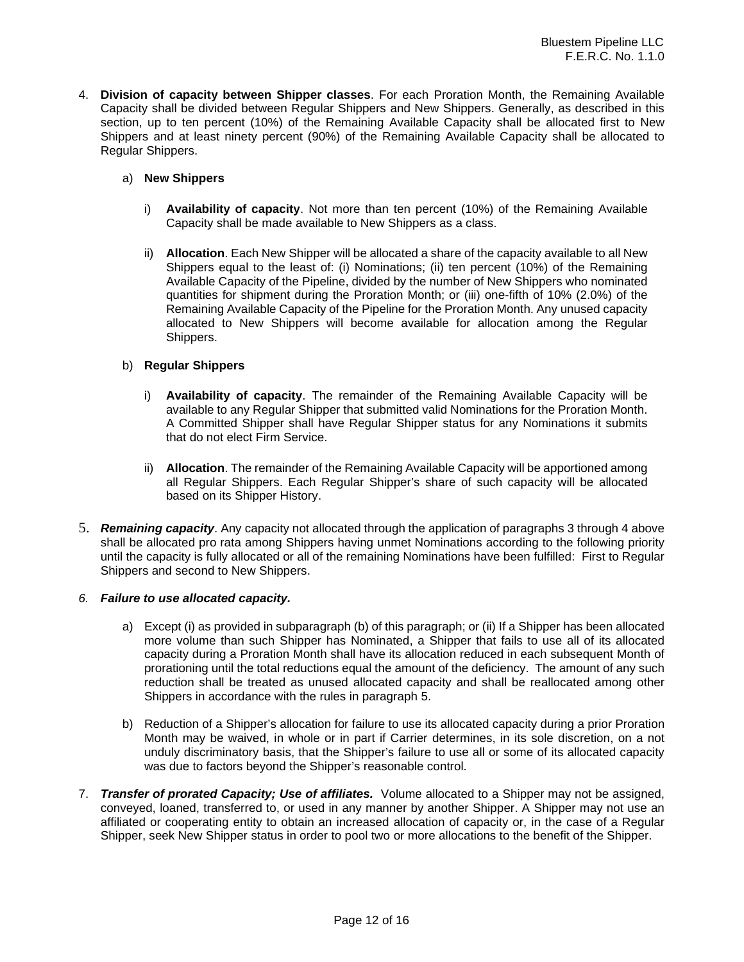4. **Division of capacity between Shipper classes**. For each Proration Month, the Remaining Available Capacity shall be divided between Regular Shippers and New Shippers. Generally, as described in this section, up to ten percent (10%) of the Remaining Available Capacity shall be allocated first to New Shippers and at least ninety percent (90%) of the Remaining Available Capacity shall be allocated to Regular Shippers.

# a) **New Shippers**

- i) **Availability of capacity**. Not more than ten percent (10%) of the Remaining Available Capacity shall be made available to New Shippers as a class.
- ii) **Allocation**. Each New Shipper will be allocated a share of the capacity available to all New Shippers equal to the least of: (i) Nominations; (ii) ten percent (10%) of the Remaining Available Capacity of the Pipeline, divided by the number of New Shippers who nominated quantities for shipment during the Proration Month; or (iii) one-fifth of 10% (2.0%) of the Remaining Available Capacity of the Pipeline for the Proration Month. Any unused capacity allocated to New Shippers will become available for allocation among the Regular Shippers.

# b) **Regular Shippers**

- i) **Availability of capacity**. The remainder of the Remaining Available Capacity will be available to any Regular Shipper that submitted valid Nominations for the Proration Month. A Committed Shipper shall have Regular Shipper status for any Nominations it submits that do not elect Firm Service.
- ii) **Allocation**. The remainder of the Remaining Available Capacity will be apportioned among all Regular Shippers. Each Regular Shipper's share of such capacity will be allocated based on its Shipper History.
- 5. *Remaining capacity*. Any capacity not allocated through the application of paragraphs 3 through 4 above shall be allocated pro rata among Shippers having unmet Nominations according to the following priority until the capacity is fully allocated or all of the remaining Nominations have been fulfilled: First to Regular Shippers and second to New Shippers.

#### *6. Failure to use allocated capacity.*

- a) Except (i) as provided in subparagraph (b) of this paragraph; or (ii) If a Shipper has been allocated more volume than such Shipper has Nominated, a Shipper that fails to use all of its allocated capacity during a Proration Month shall have its allocation reduced in each subsequent Month of prorationing until the total reductions equal the amount of the deficiency. The amount of any such reduction shall be treated as unused allocated capacity and shall be reallocated among other Shippers in accordance with the rules in paragraph 5.
- b) Reduction of a Shipper's allocation for failure to use its allocated capacity during a prior Proration Month may be waived, in whole or in part if Carrier determines, in its sole discretion, on a not unduly discriminatory basis, that the Shipper's failure to use all or some of its allocated capacity was due to factors beyond the Shipper's reasonable control.
- 7. *Transfer of prorated Capacity; Use of affiliates.* Volume allocated to a Shipper may not be assigned, conveyed, loaned, transferred to, or used in any manner by another Shipper. A Shipper may not use an affiliated or cooperating entity to obtain an increased allocation of capacity or, in the case of a Regular Shipper, seek New Shipper status in order to pool two or more allocations to the benefit of the Shipper.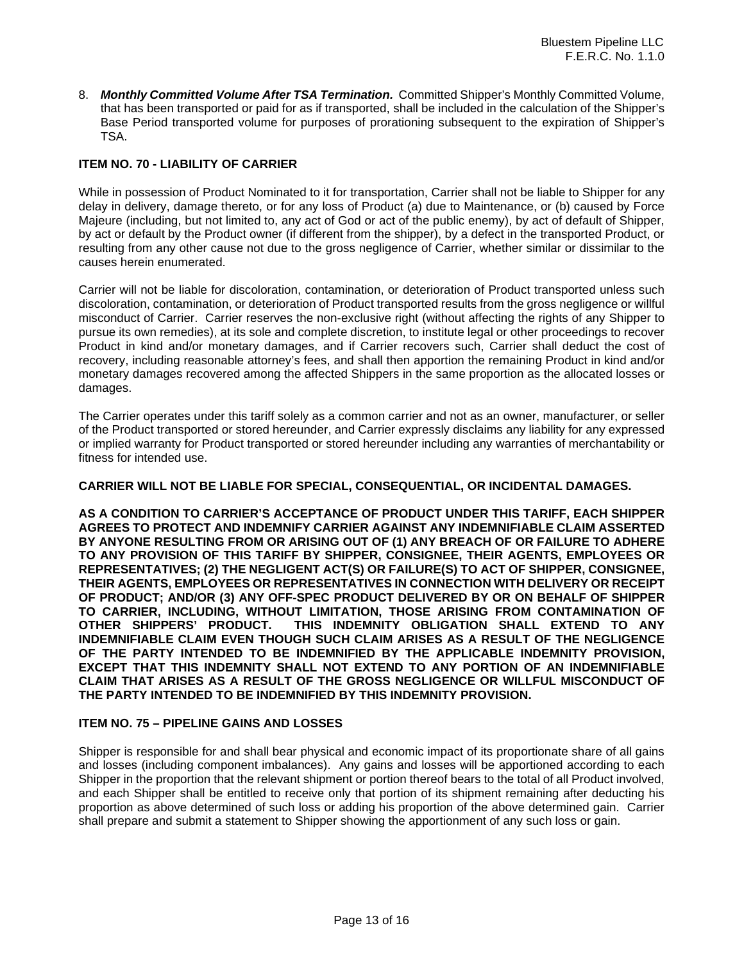8. *Monthly Committed Volume After TSA Termination.* Committed Shipper's Monthly Committed Volume, that has been transported or paid for as if transported, shall be included in the calculation of the Shipper's Base Period transported volume for purposes of prorationing subsequent to the expiration of Shipper's TSA.

# **ITEM NO. 70 - LIABILITY OF CARRIER**

While in possession of Product Nominated to it for transportation, Carrier shall not be liable to Shipper for any delay in delivery, damage thereto, or for any loss of Product (a) due to Maintenance, or (b) caused by Force Majeure (including, but not limited to, any act of God or act of the public enemy), by act of default of Shipper, by act or default by the Product owner (if different from the shipper), by a defect in the transported Product, or resulting from any other cause not due to the gross negligence of Carrier, whether similar or dissimilar to the causes herein enumerated.

Carrier will not be liable for discoloration, contamination, or deterioration of Product transported unless such discoloration, contamination, or deterioration of Product transported results from the gross negligence or willful misconduct of Carrier. Carrier reserves the non-exclusive right (without affecting the rights of any Shipper to pursue its own remedies), at its sole and complete discretion, to institute legal or other proceedings to recover Product in kind and/or monetary damages, and if Carrier recovers such, Carrier shall deduct the cost of recovery, including reasonable attorney's fees, and shall then apportion the remaining Product in kind and/or monetary damages recovered among the affected Shippers in the same proportion as the allocated losses or damages.

The Carrier operates under this tariff solely as a common carrier and not as an owner, manufacturer, or seller of the Product transported or stored hereunder, and Carrier expressly disclaims any liability for any expressed or implied warranty for Product transported or stored hereunder including any warranties of merchantability or fitness for intended use.

#### **CARRIER WILL NOT BE LIABLE FOR SPECIAL, CONSEQUENTIAL, OR INCIDENTAL DAMAGES.**

**AS A CONDITION TO CARRIER'S ACCEPTANCE OF PRODUCT UNDER THIS TARIFF, EACH SHIPPER AGREES TO PROTECT AND INDEMNIFY CARRIER AGAINST ANY INDEMNIFIABLE CLAIM ASSERTED BY ANYONE RESULTING FROM OR ARISING OUT OF (1) ANY BREACH OF OR FAILURE TO ADHERE TO ANY PROVISION OF THIS TARIFF BY SHIPPER, CONSIGNEE, THEIR AGENTS, EMPLOYEES OR REPRESENTATIVES; (2) THE NEGLIGENT ACT(S) OR FAILURE(S) TO ACT OF SHIPPER, CONSIGNEE, THEIR AGENTS, EMPLOYEES OR REPRESENTATIVES IN CONNECTION WITH DELIVERY OR RECEIPT OF PRODUCT; AND/OR (3) ANY OFF-SPEC PRODUCT DELIVERED BY OR ON BEHALF OF SHIPPER TO CARRIER, INCLUDING, WITHOUT LIMITATION, THOSE ARISING FROM CONTAMINATION OF OTHER SHIPPERS' PRODUCT. THIS INDEMNITY OBLIGATION SHALL EXTEND TO ANY INDEMNIFIABLE CLAIM EVEN THOUGH SUCH CLAIM ARISES AS A RESULT OF THE NEGLIGENCE OF THE PARTY INTENDED TO BE INDEMNIFIED BY THE APPLICABLE INDEMNITY PROVISION, EXCEPT THAT THIS INDEMNITY SHALL NOT EXTEND TO ANY PORTION OF AN INDEMNIFIABLE CLAIM THAT ARISES AS A RESULT OF THE GROSS NEGLIGENCE OR WILLFUL MISCONDUCT OF THE PARTY INTENDED TO BE INDEMNIFIED BY THIS INDEMNITY PROVISION.**

# **ITEM NO. 75 – PIPELINE GAINS AND LOSSES**

Shipper is responsible for and shall bear physical and economic impact of its proportionate share of all gains and losses (including component imbalances). Any gains and losses will be apportioned according to each Shipper in the proportion that the relevant shipment or portion thereof bears to the total of all Product involved, and each Shipper shall be entitled to receive only that portion of its shipment remaining after deducting his proportion as above determined of such loss or adding his proportion of the above determined gain. Carrier shall prepare and submit a statement to Shipper showing the apportionment of any such loss or gain.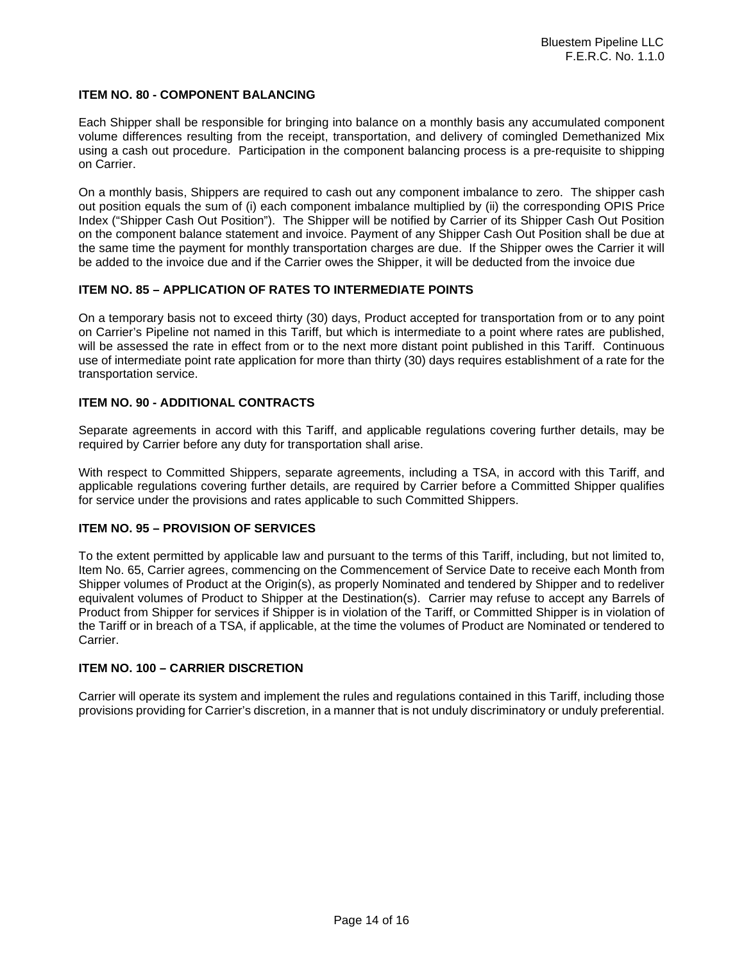# **ITEM NO. 80 - COMPONENT BALANCING**

Each Shipper shall be responsible for bringing into balance on a monthly basis any accumulated component volume differences resulting from the receipt, transportation, and delivery of comingled Demethanized Mix using a cash out procedure. Participation in the component balancing process is a pre-requisite to shipping on Carrier.

On a monthly basis, Shippers are required to cash out any component imbalance to zero. The shipper cash out position equals the sum of (i) each component imbalance multiplied by (ii) the corresponding OPIS Price Index ("Shipper Cash Out Position"). The Shipper will be notified by Carrier of its Shipper Cash Out Position on the component balance statement and invoice. Payment of any Shipper Cash Out Position shall be due at the same time the payment for monthly transportation charges are due. If the Shipper owes the Carrier it will be added to the invoice due and if the Carrier owes the Shipper, it will be deducted from the invoice due

# **ITEM NO. 85 – APPLICATION OF RATES TO INTERMEDIATE POINTS**

On a temporary basis not to exceed thirty (30) days, Product accepted for transportation from or to any point on Carrier's Pipeline not named in this Tariff, but which is intermediate to a point where rates are published, will be assessed the rate in effect from or to the next more distant point published in this Tariff. Continuous use of intermediate point rate application for more than thirty (30) days requires establishment of a rate for the transportation service.

# **ITEM NO. 90 - ADDITIONAL CONTRACTS**

Separate agreements in accord with this Tariff, and applicable regulations covering further details, may be required by Carrier before any duty for transportation shall arise.

With respect to Committed Shippers, separate agreements, including a TSA, in accord with this Tariff, and applicable regulations covering further details, are required by Carrier before a Committed Shipper qualifies for service under the provisions and rates applicable to such Committed Shippers.

#### **ITEM NO. 95 – PROVISION OF SERVICES**

To the extent permitted by applicable law and pursuant to the terms of this Tariff, including, but not limited to, Item No. 65, Carrier agrees, commencing on the Commencement of Service Date to receive each Month from Shipper volumes of Product at the Origin(s), as properly Nominated and tendered by Shipper and to redeliver equivalent volumes of Product to Shipper at the Destination(s). Carrier may refuse to accept any Barrels of Product from Shipper for services if Shipper is in violation of the Tariff, or Committed Shipper is in violation of the Tariff or in breach of a TSA, if applicable, at the time the volumes of Product are Nominated or tendered to Carrier.

# **ITEM NO. 100 – CARRIER DISCRETION**

Carrier will operate its system and implement the rules and regulations contained in this Tariff, including those provisions providing for Carrier's discretion, in a manner that is not unduly discriminatory or unduly preferential.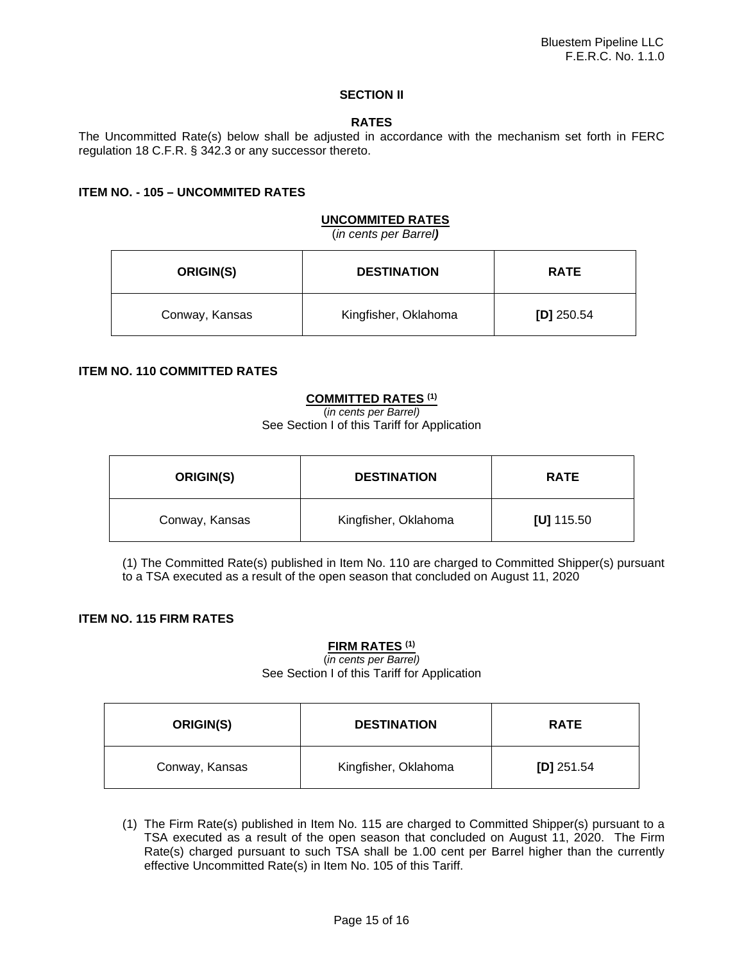# **SECTION II**

## **RATES**

The Uncommitted Rate(s) below shall be adjusted in accordance with the mechanism set forth in FERC regulation 18 C.F.R. § 342.3 or any successor thereto.

## **ITEM NO. - 105 – UNCOMMITED RATES**

# **UNCOMMITED RATES**

(*in cents per Barrel)*

| <b>ORIGIN(S)</b> | <b>DESTINATION</b>   | <b>RATE</b>  |
|------------------|----------------------|--------------|
| Conway, Kansas   | Kingfisher, Oklahoma | $[D]$ 250.54 |

#### **ITEM NO. 110 COMMITTED RATES**

## **COMMITTED RATES (1)**

(*in cents per Barrel)*

See Section I of this Tariff for Application

| ORIGIN(S)      | <b>DESTINATION</b>   | <b>RATE</b>  |
|----------------|----------------------|--------------|
| Conway, Kansas | Kingfisher, Oklahoma | $[U]$ 115.50 |

(1) The Committed Rate(s) published in Item No. 110 are charged to Committed Shipper(s) pursuant to a TSA executed as a result of the open season that concluded on August 11, 2020

#### **ITEM NO. 115 FIRM RATES**

# **FIRM RATES (1)**

(*in cents per Barrel)* See Section I of this Tariff for Application

| <b>ORIGIN(S)</b> | <b>DESTINATION</b>   | <b>RATE</b>  |
|------------------|----------------------|--------------|
| Conway, Kansas   | Kingfisher, Oklahoma | $[D]$ 251.54 |

(1) The Firm Rate(s) published in Item No. 115 are charged to Committed Shipper(s) pursuant to a TSA executed as a result of the open season that concluded on August 11, 2020. The Firm Rate(s) charged pursuant to such TSA shall be 1.00 cent per Barrel higher than the currently effective Uncommitted Rate(s) in Item No. 105 of this Tariff.